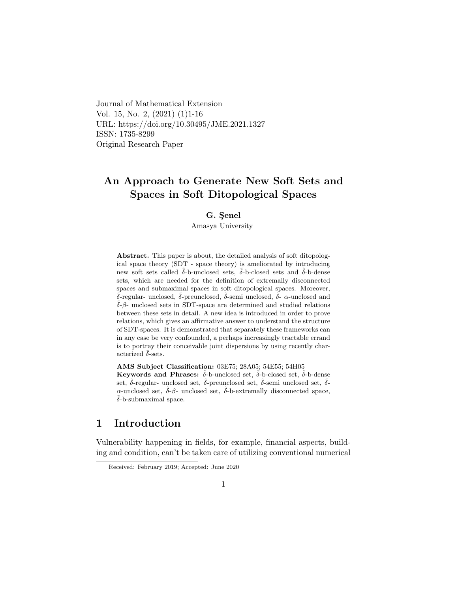Journal of Mathematical Extension Vol. 15, No. 2, (2021) (1)1-16 URL: https://doi.org/10.30495/JME.2021.1327 ISSN: 1735-8299 Original Research Paper

## An Approach to Generate New Soft Sets and Spaces in Soft Ditopological Spaces

#### G. Senel

Amasya University

Abstract. This paper is about, the detailed analysis of soft ditopological space theory (SDT - space theory) is ameliorated by introducing new soft sets called  $\tilde{\delta}$ -b-unclosed sets,  $\tilde{\delta}$ -b-closed sets and  $\tilde{\delta}$ -b-dense sets, which are needed for the definition of extremally disconnected spaces and submaximal spaces in soft ditopological spaces. Moreover,  $\tilde{\delta}$ -regular- unclosed,  $\tilde{\delta}$ -preunclosed,  $\tilde{\delta}$ -semi unclosed,  $\tilde{\delta}$ - α-unclosed and ˜δ-β- unclosed sets in SDT-space are determined and studied relations between these sets in detail. A new idea is introduced in order to prove relations, which gives an affirmative answer to understand the structure of SDT-spaces. It is demonstrated that separately these frameworks can in any case be very confounded, a perhaps increasingly tractable errand is to portray their conceivable joint dispersions by using recently characterized  $\tilde{\delta}$ -sets.

AMS Subject Classification: 03E75; 28A05; 54E55; 54H05 Keywords and Phrases:  $\delta$ -b-unclosed set,  $\delta$ -b-closed set,  $\delta$ -b-dense set,  $\tilde{\delta}$ -regular- unclosed set,  $\tilde{\delta}$ -preunclosed set,  $\tilde{\delta}$ -semi unclosed set,  $\tilde{\delta}$ α-unclosed set,  $\tilde{\delta}$ -β- unclosed set,  $\tilde{\delta}$ -b-extremally disconnected space,  $\tilde{\delta}$ -b-submaximal space.

## 1 Introduction

Vulnerability happening in fields, for example, financial aspects, building and condition, can't be taken care of utilizing conventional numerical

Received: February 2019; Accepted: June 2020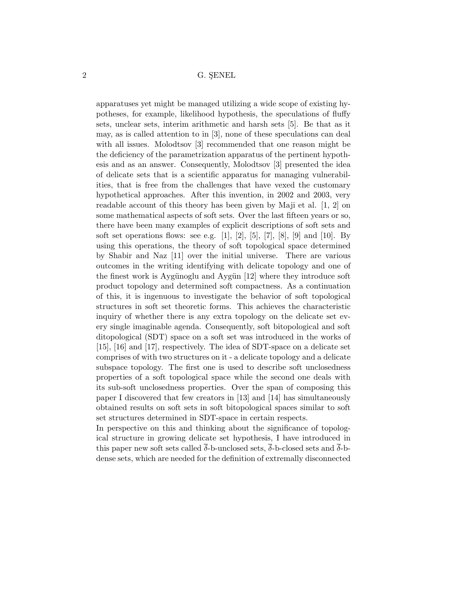apparatuses yet might be managed utilizing a wide scope of existing hypotheses, for example, likelihood hypothesis, the speculations of fluffy sets, unclear sets, interim arithmetic and harsh sets [5]. Be that as it may, as is called attention to in [3], none of these speculations can deal with all issues. Molodtsov [3] recommended that one reason might be the deficiency of the parametrization apparatus of the pertinent hypothesis and as an answer. Consequently, Molodtsov [3] presented the idea of delicate sets that is a scientific apparatus for managing vulnerabilities, that is free from the challenges that have vexed the customary hypothetical approaches. After this invention, in 2002 and 2003, very readable account of this theory has been given by Maji et al. [1, 2] on some mathematical aspects of soft sets. Over the last fifteen years or so, there have been many examples of explicit descriptions of soft sets and soft set operations flows: see e.g.  $[1]$ ,  $[2]$ ,  $[5]$ ,  $[7]$ ,  $[8]$ ,  $[9]$  and  $[10]$ . By using this operations, the theory of soft topological space determined by Shabir and Naz [11] over the initial universe. There are various outcomes in the writing identifying with delicate topology and one of the finest work is Aygünoglu and Aygün  $[12]$  where they introduce soft product topology and determined soft compactness. As a continuation of this, it is ingenuous to investigate the behavior of soft topological structures in soft set theoretic forms. This achieves the characteristic inquiry of whether there is any extra topology on the delicate set every single imaginable agenda. Consequently, soft bitopological and soft ditopological (SDT) space on a soft set was introduced in the works of [15], [16] and [17], respectively. The idea of SDT-space on a delicate set comprises of with two structures on it - a delicate topology and a delicate subspace topology. The first one is used to describe soft unclosedness properties of a soft topological space while the second one deals with its sub-soft unclosedness properties. Over the span of composing this paper I discovered that few creators in [13] and [14] has simultaneously obtained results on soft sets in soft bitopological spaces similar to soft set structures determined in SDT-space in certain respects.

In perspective on this and thinking about the significance of topological structure in growing delicate set hypothesis, I have introduced in this paper new soft sets called  $\bar{\delta}$ -b-unclosed sets,  $\bar{\delta}$ -b-closed sets and  $\bar{\delta}$ -bdense sets, which are needed for the definition of extremally disconnected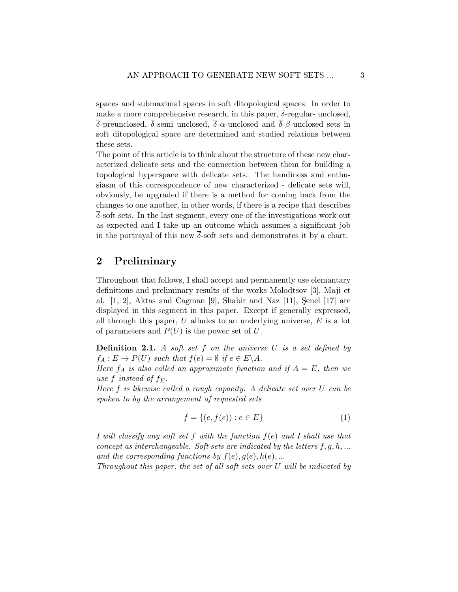spaces and submaximal spaces in soft ditopological spaces. In order to make a more comprehensive research, in this paper,  $\overline{\delta}$ -regular- unclosed, δ-preunclosed, δ-semi unclosed, δ-α-unclosed and δ-β-unclosed sets in soft ditopological space are determined and studied relations between these sets.

The point of this article is to think about the structure of these new characterized delicate sets and the connection between them for building a topological hyperspace with delicate sets. The handiness and enthusiasm of this correspondence of new characterized - delicate sets will, obviously, be upgraded if there is a method for coming back from the changes to one another, in other words, if there is a recipe that describes δ-soft sets. In the last segment, every one of the investigations work out as expected and I take up an outcome which assumes a significant job in the portrayal of this new  $\overline{\delta}$ -soft sets and demonstrates it by a chart.

## 2 Preliminary

Throughout that follows, I shall accept and permanently use elemantary definitions and preliminary results of the works Molodtsov [3], Maji et al.  $[1, 2]$ , Aktas and Cagman  $[9]$ , Shabir and Naz  $[11]$ , Senel  $[17]$  are displayed in this segment in this paper. Except if generally expressed, all through this paper,  $U$  alludes to an underlying universe,  $E$  is a lot of parameters and  $P(U)$  is the power set of U.

**Definition 2.1.** A soft set  $f$  on the universe  $U$  is a set defined by  $f_A: E \to P(U)$  such that  $f(e) = \emptyset$  if  $e \in E \backslash A$ .

Here  $f_A$  is also called an approximate function and if  $A = E$ , then we use f instead of  $f_E$ .

Here f is likewise called a rough capacity. A delicate set over U can be spoken to by the arrangement of requested sets

$$
f = \{(e, f(e)) : e \in E\}
$$
 (1)

I will classify any soft set f with the function  $f(e)$  and I shall use that concept as interchangeable. Soft sets are indicated by the letters  $f, g, h, ...$ and the corresponding functions by  $f(e), g(e), h(e), \ldots$ 

Throughout this paper, the set of all soft sets over U will be indicated by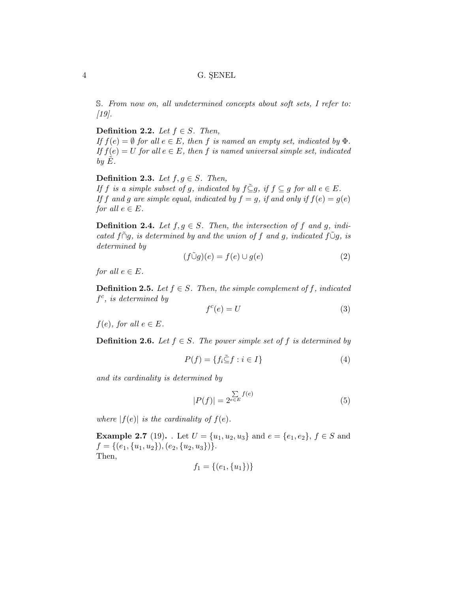S. From now on, all undetermined concepts about soft sets, I refer to:  $[19]$ .

Definition 2.2. Let  $f \in S$ . Then,

If  $f(e) = \emptyset$  for all  $e \in E$ , then f is named an empty set, indicated by  $\Phi$ . If  $f(e) = U$  for all  $e \in E$ , then f is named universal simple set, indicated by  $E$ .

Definition 2.3. Let  $f, g \in S$ . Then,

If f is a simple subset of g, indicated by  $f \subseteq g$ , if  $f \subseteq g$  for all  $e \in E$ . If f and g are simple equal, indicated by  $f = g$ , if and only if  $f(e) = g(e)$ for all  $e \in E$ .

**Definition 2.4.** Let  $f, g \in S$ . Then, the intersection of f and g, indicated f $\tilde{\cap}$ g, is determined by and the union of f and g, indicated f $\tilde{\cup}$ g, is determined by

$$
(f\tilde{\cup}g)(e) = f(e) \cup g(e) \tag{2}
$$

for all  $e \in E$ .

**Definition 2.5.** Let  $f \in S$ . Then, the simple complement of f, indicated  $f^c$ , is determined by

$$
f^c(e) = U \tag{3}
$$

 $f(e)$ , for all  $e \in E$ .

**Definition 2.6.** Let  $f \in S$ . The power simple set of f is determined by

$$
P(f) = \{ f_i \tilde{\subseteq} f : i \in I \}
$$
\n<sup>(4)</sup>

and its cardinality is determined by

$$
|P(f)| = 2^{\sum_{e \in E} f(e)} \tag{5}
$$

where  $|f(e)|$  is the cardinality of  $f(e)$ .

**Example 2.7** (19). . Let  $U = \{u_1, u_2, u_3\}$  and  $e = \{e_1, e_2\}$ ,  $f \in S$  and  $f = \{ (e_1, \{u_1, u_2\}), (e_2, \{u_2, u_3\}) \}.$ Then,

$$
f_1 = \{(e_1, \{u_1\})\}
$$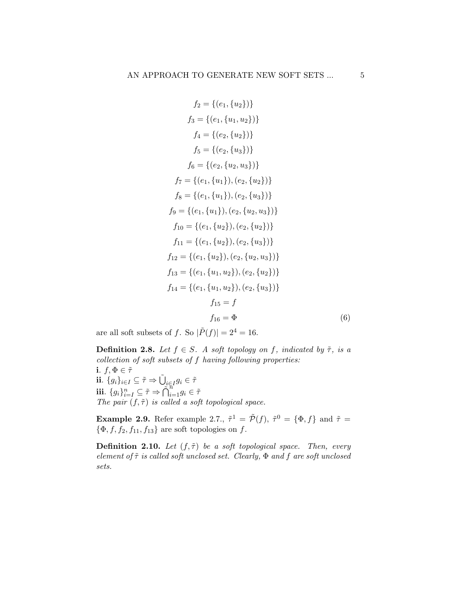$$
f_2 = \{(e_1, \{u_2\})\}
$$
  
\n
$$
f_3 = \{(e_1, \{u_1, u_2\})\}
$$
  
\n
$$
f_4 = \{(e_2, \{u_2\})\}
$$
  
\n
$$
f_5 = \{(e_2, \{u_3\})\}
$$
  
\n
$$
f_6 = \{(e_2, \{u_2, u_3\})\}
$$
  
\n
$$
f_7 = \{(e_1, \{u_1\}), (e_2, \{u_2\})\}
$$
  
\n
$$
f_8 = \{(e_1, \{u_1\}), (e_2, \{u_3\})\}
$$
  
\n
$$
f_9 = \{(e_1, \{u_1\}), (e_2, \{u_2, u_3\})\}
$$
  
\n
$$
f_{10} = \{(e_1, \{u_2\}), (e_2, \{u_2\})\}
$$
  
\n
$$
f_{11} = \{(e_1, \{u_2\}), (e_2, \{u_3\})\}
$$
  
\n
$$
f_{12} = \{(e_1, \{u_2\}), (e_2, \{u_2, u_3\})\}
$$
  
\n
$$
f_{13} = \{(e_1, \{u_1, u_2\}), (e_2, \{u_2, u_3\})\}
$$
  
\n
$$
f_{14} = \{(e_1, \{u_1, u_2\}), (e_2, \{u_2\})\}
$$
  
\n
$$
f_{15} = f
$$
  
\n
$$
f_{16} = \Phi
$$
  
\n(6)

are all soft subsets of f. So  $|\tilde{P}(f)| = 2^4 = 16$ .

**Definition 2.8.** Let  $f \in S$ . A soft topology on f, indicated by  $\tilde{\tau}$ , is a collection of soft subsets of f having following properties: i.  $f, \Phi \in \tilde{\tau}$ ii.  $\{g_i\}_{i\in I}\subseteq \tilde{\tau}\Rightarrow \tilde{\bigcup}_{i\in I}g_i\in \tilde{\tau}$ iii.  ${g_i}_{i=I}^n \subseteq \tilde{\tau} \Rightarrow \tilde{\bigcap}_{i=1}^n g_i \in \tilde{\tau}$ The pair  $(f, \tilde{\tau})$  is called a soft topological space.

**Example 2.9.** Refer example 2.7.,  $\tilde{\tau}^1 = \tilde{\mathcal{P}}(f)$ ,  $\tilde{\tau}^0 = {\Phi, f}$  and  $\tilde{\tau} =$  $\{\Phi, f, f_2, f_{11}, f_{13}\}$  are soft topologies on f.

**Definition 2.10.** Let  $(f, \tilde{\tau})$  be a soft topological space. Then, every element of  $\tilde{\tau}$  is called soft unclosed set. Clearly,  $\Phi$  and  $f$  are soft unclosed sets.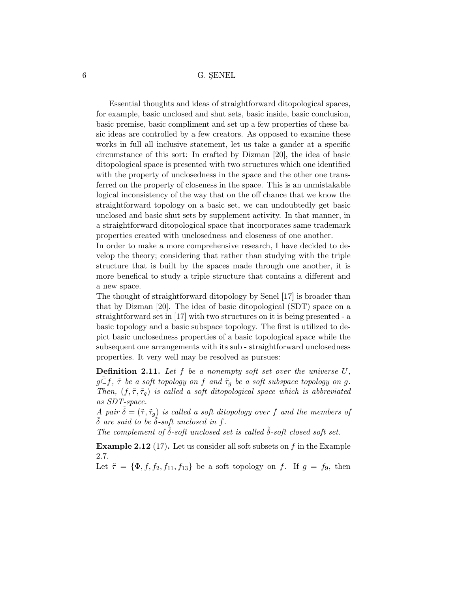Essential thoughts and ideas of straightforward ditopological spaces, for example, basic unclosed and shut sets, basic inside, basic conclusion, basic premise, basic compliment and set up a few properties of these basic ideas are controlled by a few creators. As opposed to examine these works in full all inclusive statement, let us take a gander at a specific circumstance of this sort: In crafted by Dizman [20], the idea of basic ditopological space is presented with two structures which one identified with the property of unclosedness in the space and the other one transferred on the property of closeness in the space. This is an unmistakable logical inconsistency of the way that on the off chance that we know the straightforward topology on a basic set, we can undoubtedly get basic unclosed and basic shut sets by supplement activity. In that manner, in a straightforward ditopological space that incorporates same trademark properties created with unclosedness and closeness of one another.

In order to make a more comprehensive research, I have decided to develop the theory; considering that rather than studying with the triple structure that is built by the spaces made through one another, it is more benefical to study a triple structure that contains a different and a new space.

The thought of straightforward ditopology by Senel [17] is broader than that by Dizman [20]. The idea of basic ditopological (SDT) space on a straightforward set in [17] with two structures on it is being presented - a basic topology and a basic subspace topology. The first is utilized to depict basic unclosedness properties of a basic topological space while the subsequent one arrangements with its sub - straightforward unclosedness properties. It very well may be resolved as pursues:

**Definition 2.11.** Let  $f$  be a nonempty soft set over the universe  $U$ ,  $g \subseteq f$ ,  $\tilde{\tau}$  be a soft topology on f and  $\tilde{\tau}_g$  be a soft subspace topology on g. Then,  $(f, \tilde{\tau}, \tilde{\tau}_q)$  is called a soft ditopological space which is abbreviated as SDT-space.

A pair  $\tilde{\delta} = (\tilde{\tau}, \tilde{\tau}_g)$  is called a soft ditopology over f and the members of  $\tilde{\delta}$  are said to be  $\tilde{\delta}$ -soft unclosed in f.

The complement of  $\tilde{\delta}$ -soft unclosed set is called  $\tilde{\delta}$ -soft closed soft set.

**Example 2.12** (17). Let us consider all soft subsets on  $f$  in the Example 2.7.

Let  $\tilde{\tau} = {\Phi, f, f_2, f_{11}, f_{13}}$  be a soft topology on f. If  $g = f_9$ , then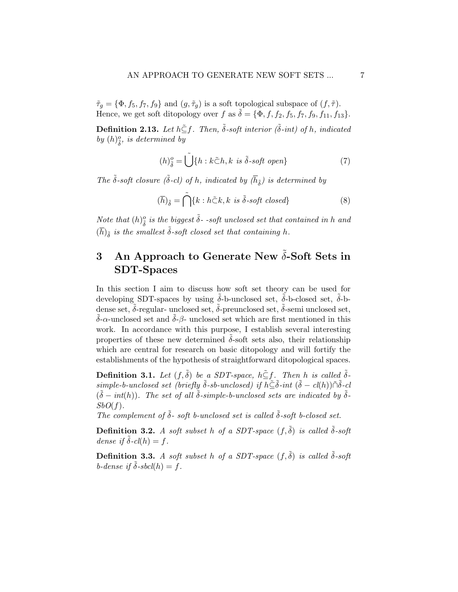$\tilde{\tau}_g = {\Phi, f_5, f_7, f_9}$  and  $(g, \tilde{\tau}_g)$  is a soft topological subspace of  $(f, \tilde{\tau})$ . Hence, we get soft ditopology over f as  $\tilde{\delta} = {\Phi, f, f_2, f_5, f_7, f_9, f_{11}, f_{13}}$ .

**Definition 2.13.** Let  $h \tilde{\subseteq} f$ . Then,  $\tilde{\delta}$ -soft interior ( $\tilde{\delta}$ -int) of h, indicated by  $(h)_{\tilde{\delta}}^o$ , is determined by

$$
(h)_{\tilde{\delta}}^o = \tilde{\bigcup} \{ h : k \tilde{\subset} h, k \text{ is } \tilde{\delta} \text{-soft open} \}
$$
 (7)

The  $\tilde{\delta}$ -soft closure ( $\tilde{\delta}$ -cl) of h, indicated by ( $\overline{h}_{\tilde{\delta}}$ ) is determined by

$$
(\overline{h})_{\tilde{\delta}} = \tilde{\bigcap} \{k : h \tilde{\subset} k, k \text{ is } \tilde{\delta} \text{-soft closed}\}
$$
 (8)

Note that  $(h)_{\tilde{\delta}}^o$  is the biggest  $\tilde{\delta}$ -soft unclosed set that contained in h and  $(\overline{h})_{\tilde{\delta}}$  is the smallest  $\tilde{\delta}$ -soft closed set that containing h.

## 3 An Approach to Generate New  $\tilde{\delta}$ -Soft Sets in SDT-Spaces

In this section I aim to discuss how soft set theory can be used for developing SDT-spaces by using  $\delta$ -b-unclosed set,  $\delta$ -b-closed set,  $\delta$ -bdense set,  $\tilde{\delta}$ -regular- unclosed set,  $\tilde{\delta}$ -preunclosed set,  $\tilde{\delta}$ -semi unclosed set,  $\tilde{\delta}$ - $\alpha$ -unclosed set and  $\tilde{\delta}$ - $\beta$ -unclosed set which are first mentioned in this work. In accordance with this purpose, I establish several interesting properties of these new determined  $\delta$ -soft sets also, their relationship which are central for research on basic ditopology and will fortify the establishments of the hypothesis of straightforward ditopological spaces.

**Definition 3.1.** Let  $(f, \delta)$  be a SDT-space,  $h \leq f$ . Then h is called  $\delta$  $simple-b\cdotunclosed\ set\ (briefly\ \tilde{\delta}\text{-}sb\cdot unclosed)\ if\ h\tilde{\subseteq }\tilde{\delta}\text{-}int\ (\tilde{\delta}-\textit{cl}(h))\tilde{\cap }\tilde{\delta}\text{-}cl$  $({\tilde{\delta}} - int(h))$ . The set of all  $\tilde{\delta}$ -simple-b-unclosed sets are indicated by  $\tilde{\delta}$ - $SbO(f)$ .

The complement of  $\tilde{\delta}$ - soft b-unclosed set is called  $\tilde{\delta}$ -soft b-closed set.

**Definition 3.2.** A soft subset h of a SDT-space  $(f, \tilde{\delta})$  is called  $\tilde{\delta}$ -soft dense if  $\tilde{\delta}$ -cl(h) = f.

**Definition 3.3.** A soft subset h of a SDT-space  $(f, \tilde{\delta})$  is called  $\tilde{\delta}$ -soft b-dense if  $\delta$ -sbcl(h) = f.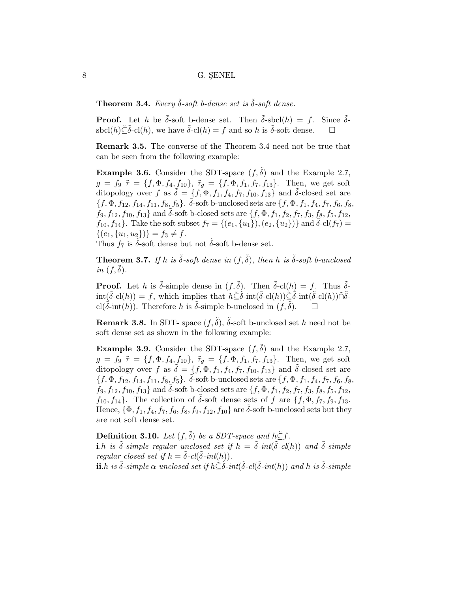**Theorem 3.4.** Every  $\tilde{\delta}$ -soft b-dense set is  $\tilde{\delta}$ -soft dense.

**Proof.** Let h be  $\tilde{\delta}$ -soft b-dense set. Then  $\tilde{\delta}$ -sbcl $(h) = f$ . Since  $\tilde{\delta}$ sbcl(h) $\tilde{\subseteq} \tilde{\delta}$ -cl(h), we have  $\tilde{\delta}$ -cl(h) = f and so h is  $\tilde{\delta}$ -soft dense.  $\square$ 

Remark 3.5. The converse of the Theorem 3.4 need not be true that can be seen from the following example:

**Example 3.6.** Consider the SDT-space  $(f, \delta)$  and the Example 2.7,  $g = f_9 \tilde{\tau} = \{f, \Phi, f_4, f_{10}\}, \tilde{\tau}_g = \{f, \Phi, f_1, f_7, f_{13}\}.$  Then, we get soft ditopology over f as  $\tilde{\delta} = \{f, \Phi, f_1, f_4, f_7, f_{10}, f_{13}\}\$ and  $\tilde{\delta}$ -closed set are  $\{f, \Phi, f_{12}, f_{14}, f_{11}, f_8, f_5\}$ .  $\tilde{\delta}$ -soft b-unclosed sets are  $\{f, \Phi, f_1, f_4, f_7, f_6, f_8, f_9\}$  $f_9, f_{12}, f_{10}, f_{13}$  and  $\delta$ -soft b-closed sets are  $\{f, \Phi, f_1, f_2, f_7, f_3, f_8, f_5, f_{12},\}$  $f_{10}, f_{14}$ . Take the soft subset  $f_7 = \{(e_1, \{u_1\}), (e_2, \{u_2\})\}$  and  $\tilde{\delta}$ -cl $(f_7)$  =  $\{(e_1, \{u_1, u_2\})\} = f_3 \neq f.$ 

Thus  $f_7$  is  $\delta$ -soft dense but not  $\delta$ -soft b-dense set.

**Theorem 3.7.** If h is  $\tilde{\delta}$ -soft dense in  $(f, \tilde{\delta})$ , then h is  $\tilde{\delta}$ -soft b-unclosed in  $(f, \delta)$ .

**Proof.** Let h is  $\tilde{\delta}$ -simple dense in  $(f, \tilde{\delta})$ . Then  $\tilde{\delta}$ -cl $(h) = f$ . Thus  $\tilde{\delta}$ - $\text{int}(\tilde{\delta} - \text{cl}(h)) = f$ , which implies that  $h \tilde{\subset} \tilde{\delta}$ -int $(\tilde{\delta} - \text{cl}(h)) \tilde{\subset} \tilde{\delta}$ -int $(\tilde{\delta} - \text{cl}(h)) \tilde{\cap} \tilde{\delta}$ cl( $\delta$ -int(h)). Therefore h is  $\delta$ -simple b-unclosed in (f,  $\delta$ ).

**Remark 3.8.** In SDT- space  $(f, \tilde{\delta})$ ,  $\tilde{\delta}$ -soft b-unclosed set h need not be soft dense set as shown in the following example:

**Example 3.9.** Consider the SDT-space  $(f, \tilde{\delta})$  and the Example 2.7,  $g = f_9 \tilde{\tau} = \{f, \Phi, f_4, f_{10}\}, \tilde{\tau}_g = \{f, \Phi, f_1, f_7, f_{13}\}.$  Then, we get soft ditopology over f as  $\tilde{\delta} = \{f, \Phi, f_1, f_4, f_7, f_{10}, f_{13}\}$  and  $\tilde{\delta}$ -closed set are  $\{f, \Phi, f_{12}, f_{14}, f_{11}, f_8, f_5\}$ .  $\tilde{\delta}$ -soft b-unclosed sets are  $\{f, \Phi, f_1, f_4, f_7, f_6, f_8, f_9\}$  $f_9, f_{12}, f_{10}, f_{13}$  and  $\delta$ -soft b-closed sets are  $\{f, \Phi, f_1, f_2, f_7, f_3, f_8, f_5, f_{12},$  $f_{10}, f_{14}$ . The collection of  $\delta$ -soft dense sets of f are  $\{f, \Phi, f_7, f_9, f_{13}.$ Hence,  $\{\Phi, f_1, f_4, f_7, f_6, f_8, f_9, f_{12}, f_{10}\}\$ are  $\delta$ -soft b-unclosed sets but they are not soft dense set.

**Definition 3.10.** Let  $(f, \tilde{\delta})$  be a SDT-space and  $h \leq f$ . **i**.h is  $\tilde{\delta}$ -simple regular unclosed set if  $h = \tilde{\delta}$ -int $(\tilde{\delta}$ -cl(h)) and  $\tilde{\delta}$ -simple regular closed set if  $h = \tilde{\delta}$ -cl( $\tilde{\delta}$ -int(h)).

ii.h is  $\tilde{\delta}$ -simple  $\alpha$  unclosed set if  $h\tilde{\subseteq}\tilde{\delta}\text{-}int(\tilde{\delta}\text{-}cl(\tilde{\delta}\text{-}int(h))$  and h is  $\tilde{\delta}\text{-}simple$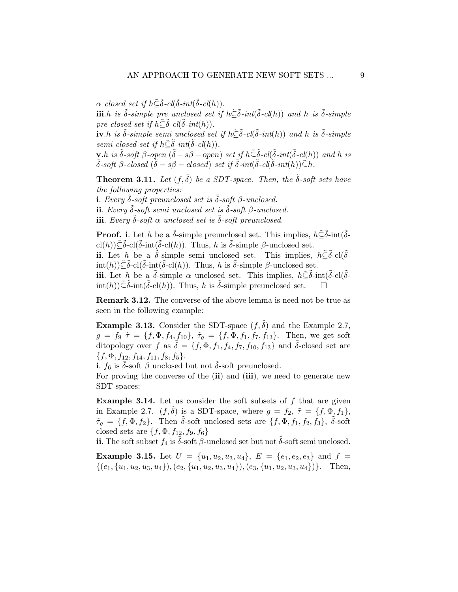$\alpha$  closed set if  $h \tilde{\subseteq} \tilde{\delta}$ -cl $(\tilde{\delta}$ -int $(\tilde{\delta}$ -cl $(h))$ .

iii.h is  $\tilde{\delta}$ -simple pre unclosed set if  $h\tilde{\subseteq}\tilde{\delta}$ -int $(\tilde{\delta}$ -cl(h)) and h is  $\tilde{\delta}$ -simple pre closed set if  $h \tilde{\subseteq} \tilde{\delta}$ -cl( $\tilde{\delta}$ -int(h)).

 $\tilde{\mathbf{i}}$ **v**.h is  $\tilde{\delta}$ -simple semi unclosed set if  $h\tilde{\subseteq}\tilde{\delta}$ -cl( $\tilde{\delta}$ -int(h)) and h is  $\tilde{\delta}$ -simple semi closed set if  $h \tilde{\subseteq} \tilde{\delta}$ -int $(\tilde{\delta}$ -cl $(h))$ .

**v**.h is  $\tilde{\delta}$ -soft  $\beta$ -open  $(\tilde{\delta} - s\beta - \overline{open})$  set if  $h\tilde{\subseteq} \tilde{\delta}$ -cl( $\tilde{\delta}$ -int( $\tilde{\delta}$ -cl(h)) and h is  $\tilde{\delta}$ -soft  $\beta$ -closed  $(\tilde{\delta}-s\beta-closed)$  set if  $\tilde{\delta}$ -int $(\tilde{\delta}$ -cl $(\tilde{\delta}-int(h))\tilde{\subseteq}h$ .

**Theorem 3.11.** Let  $(f, \tilde{\delta})$  be a SDT-space. Then, the  $\tilde{\delta}$ -soft sets have the following properties:

**i.** Every  $\delta$ -soft preunclosed set is  $\delta$ -soft β-unclosed.

ii. Every  $\tilde{\delta}$ -soft semi unclosed set is  $\tilde{\delta}$ -soft  $\beta$ -unclosed.

iii. Every  $\tilde{\delta}$ -soft  $\alpha$  unclosed set is  $\tilde{\delta}$ -soft preunclosed.

**Proof.** i. Let h be a  $\tilde{\delta}$ -simple preunclosed set. This implies,  $h\tilde{\in} \tilde{\delta}$ -int $(\tilde{\delta}$ cl(h)) $\bar{\subseteq} \delta$ -cl( $\delta$ -int( $\bar{\delta}$ -cl(h)). Thus, h is  $\tilde{\delta}$ -simple  $\beta$ -unclosed set.

ii. Let h be a  $\tilde{\delta}$ -simple semi unclosed set. This implies,  $h\tilde{\subseteq}\tilde{\delta}$ -cl $(\tilde{\delta}$ int(h)) $\tilde{\subseteq} \delta$ -cl( $\delta$ -int( $\delta$ -cl(h)). Thus, h is  $\delta$ -simple  $\beta$ -unclosed set.

iii. Let h be a  $\delta$ -simple  $\alpha$  unclosed set. This implies,  $h\tilde{\subseteq}\delta$ -int $(\delta$ -cl $(\delta$  $int(h))\tilde{\subset}\delta$ -int $(\delta$ -cl(h)). Thus, h is  $\delta$ -simple preunclosed set.  $\square$ 

Remark 3.12. The converse of the above lemma is need not be true as seen in the following example:

**Example 3.13.** Consider the SDT-space  $(f, \tilde{\delta})$  and the Example 2.7,  $g = f_9 \tilde{\tau} = \{f, \Phi, f_4, f_{10}\}, \tilde{\tau}_g = \{f, \Phi, f_1, f_7, f_{13}\}.$  Then, we get soft ditopology over f as  $\tilde{\delta} = \{f, \Phi, f_1, f_4, f_7, f_{10}, f_{13}\}\$ and  $\tilde{\delta}$ -closed set are  $\{f, \Phi, f_{12}, f_{14}, f_{11}, f_8, f_5\}.$ 

i.  $f_6$  is  $\tilde{\delta}$ -soft  $\beta$  unclosed but not  $\tilde{\delta}$ -soft preunclosed.

For proving the converse of the (ii) and (iii), we need to generate new SDT-spaces:

**Example 3.14.** Let us consider the soft subsets of  $f$  that are given in Example 2.7.  $(f, \delta)$  is a SDT-space, where  $g = f_2$ ,  $\tilde{\tau} = \{f, \Phi, f_1\}$ ,  $\tilde{\tau}_g = \{f, \Phi, f_2\}.$  Then  $\tilde{\delta}$ -soft unclosed sets are  $\{f, \Phi, f_1, f_2, f_3\}, \tilde{\delta}$ -soft closed sets are  $\{f, \Phi, f_{12}, f_9, f_6\}$ 

ii. The soft subset  $f_4$  is  $\tilde{\delta}$ -soft  $\beta$ -unclosed set but not  $\tilde{\delta}$ -soft semi unclosed.

**Example 3.15.** Let  $U = \{u_1, u_2, u_3, u_4\}$ ,  $E = \{e_1, e_2, e_3\}$  and  $f =$  $\{(e_1,\{u_1,u_2,u_3,u_4\}), (e_2,\{u_1,u_2,u_3,u_4\}), (e_3,\{u_1,u_2,u_3,u_4\})\}.$  Then,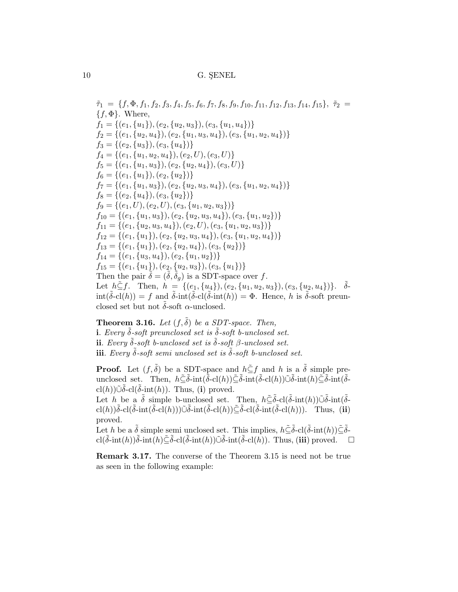$\tilde{\tau}_1 = \{f, \Phi, f_1, f_2, f_3, f_4, f_5, f_6, f_7, f_8, f_9, f_{10}, f_{11}, f_{12}, f_{13}, f_{14}, f_{15}\}, \tilde{\tau}_2 =$  ${f, \Phi}$ . Where,  $f_1 = \{(e_1, \{u_1\}), (e_2, \{u_2, u_3\}), (e_3, \{u_1, u_4\})\}$  $f_2 = \{(e_1, \{u_2, u_4\}), (e_2, \{u_1, u_3, u_4\}), (e_3, \{u_1, u_2, u_4\})\}\$  $f_3 = \{(e_2, \{u_3\}), (e_3, \{u_4\})\}$  $f_4 = \{(e_1, \{u_1, u_2, u_4\}), (e_2, U), (e_3, U)\}\$  $f_5 = \{(e_1, \{u_1, u_3\}), (e_2, \{u_2, u_4\}), (e_3, U)\}\$  $f_6 = \{(e_1, \{u_1\}), (e_2, \{u_2\})\}$  $f_7 = \{(e_1, \{u_1, u_3\}), (e_2, \{u_2, u_3, u_4\}), (e_3, \{u_1, u_2, u_4\})\}\$  $f_8 = \{(e_2, \{u_4\}), (e_3, \{u_2\})\}$  $f_9 = \{(e_1, U), (e_2, U), (e_3, \{u_1, u_2, u_3\})\}$  $f_{10} = \{(e_1, \{u_1, u_3\}), (e_2, \{u_2, u_3, u_4\}), (e_3, \{u_1, u_2\})\}$  $f_{11} = \{(e_1, \{u_2, u_3, u_4\}), (e_2, U), (e_3, \{u_1, u_2, u_3\})\}$  $f_{12} = \{(e_1, \{u_1\}), (e_2, \{u_2, u_3, u_4\}), (e_3, \{u_1, u_2, u_4\})\}\$  $f_{13} = \{(e_1, \{u_1\}), (e_2, \{u_2, u_4\}), (e_3, \{u_2\})\}$  $f_{14} = \{(e_1, \{u_3, u_4\}), (e_2, \{u_1, u_2\})\}$  $f_{15} = \{(e_1, \{u_1\}), (e_2, \{u_2, u_3\}), (e_3, \{u_1\})\}$ Then the pair  $\tilde{\delta} = (\tilde{\delta}, \tilde{\delta}_q)$  is a SDT-space over f. Let  $h \tilde{\subseteq} f$ . Then,  $h = \{(e_1, \{u_4\}), (e_2, \{u_1, u_2, u_3\}), (e_3, \{u_2, u_4\})\}$ .  $\tilde{\delta}$ - $\text{int}(\tilde{\delta} - \text{cl}(h)) = f$  and  $\tilde{\delta}$ -int $(\tilde{\delta} - \text{cl}(\tilde{\delta} - \text{int}(h)) = \Phi$ . Hence, h is  $\tilde{\delta}$ -soft preunclosed set but not  $\delta$ -soft  $\alpha$ -unclosed.

**Theorem 3.16.** Let  $(f, \tilde{\delta})$  be a SDT-space. Then, i. Every  $\tilde{\delta}$ -soft preunclosed set is  $\tilde{\delta}$ -soft b-unclosed set. ii. Every  $\tilde{\delta}$ -soft b-unclosed set is  $\tilde{\delta}$ -soft  $\beta$ -unclosed set. iii. Every  $\tilde{\delta}$ -soft semi unclosed set is  $\tilde{\delta}$ -soft b-unclosed set.

**Proof.** Let  $(f, \tilde{\delta})$  be a SDT-space and  $h \subseteq f$  and h is a  $\tilde{\delta}$  simple preunclosed set. Then,  $h\tilde{\subseteq}\tilde{\delta}$ -int $(\tilde{\delta}$ -cl $(h))\tilde{\subseteq}\tilde{\delta}$ -int $(\tilde{\delta}$ -cl $(h))\tilde{\cup}\tilde{\delta}$ -int $(\tilde{\delta}$ -int $(\tilde{\delta}$ cl(h))∪ $\delta$ -cl( $\delta$ -int(h)). Thus, (i) proved.

Let h be a  $\tilde{\delta}$  simple b-unclosed set. Then,  $h\tilde{\subseteq}\tilde{\delta}$ -cl( $\tilde{\delta}$ -int(h)) $\tilde{\cup}\tilde{\delta}$ -int( $\tilde{\delta}$ cl(h)) $\delta$ -cl( $\delta$ -int( $\delta$ -cl(h))) $\tilde{\cup}$  $\delta$ -int( $\delta$ -cl(h)) $\tilde{\le}$  $\delta$ -cl( $\delta$ -int( $\delta$ -cl(h))). Thus, (ii) proved.

Let h be a  $\tilde{\delta}$  simple semi unclosed set. This implies,  $h\tilde{\subseteq}\tilde{\delta}$ -cl $(\tilde{\delta}$ -int $(h))\tilde{\subseteq}\tilde{\delta}$ cl( $\tilde{\delta}$ -int(h)) $\tilde{\delta}$ -int(h) $\tilde{\epsilon}$  $\tilde{\delta}$ -cl( $\tilde{\delta}$ -int(h)) $\tilde{\omega}$  $\tilde{\delta}$ -int( $\tilde{\delta}$ -cl(h)). Thus, (iii) proved.  $\Box$ 

Remark 3.17. The converse of the Theorem 3.15 is need not be true as seen in the following example: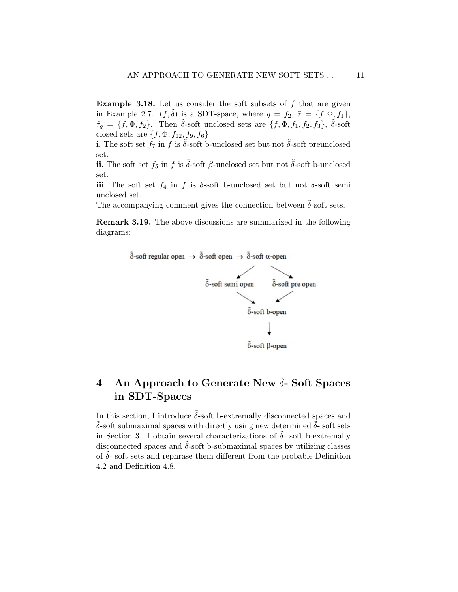Example 3.18. Let us consider the soft subsets of f that are given in Example 2.7.  $(f, \tilde{\delta})$  is a SDT-space, where  $g = f_2$ ,  $\tilde{\tau} = \{f, \Phi, f_1\}$ ,  $\tilde{\tau}_g = \{f, \Phi, f_2\}.$  Then  $\tilde{\delta}$ -soft unclosed sets are  $\{f, \Phi, f_1, f_2, f_3\}, \tilde{\delta}$ -soft closed sets are  $\{f, \Phi, f_{12}, f_9, f_6\}$ 

i. The soft set  $f_7$  in  $f$  is  $\tilde{\delta}$ -soft b-unclosed set but not  $\tilde{\delta}$ -soft preunclosed set.

ii. The soft set  $f_5$  in  $f$  is  $\tilde{\delta}$ -soft  $\beta$ -unclosed set but not  $\tilde{\delta}$ -soft b-unclosed set.

iii. The soft set  $f_4$  in f is  $\tilde{\delta}$ -soft b-unclosed set but not  $\tilde{\delta}$ -soft semi unclosed set.

The accompanying comment gives the connection between  $\tilde{\delta}$ -soft sets.

Remark 3.19. The above discussions are summarized in the following diagrams:



# 4 An Approach to Generate New  $\tilde{\delta}$ - Soft Spaces in SDT-Spaces

In this section, I introduce  $\tilde{\delta}$ -soft b-extremally disconnected spaces and  $\delta$ -soft submaximal spaces with directly using new determined  $\delta$ -soft sets in Section 3. I obtain several characterizations of  $\delta$ - soft b-extremally disconnected spaces and  $\delta$ -soft b-submaximal spaces by utilizing classes of  $\delta$ - soft sets and rephrase them different from the probable Definition 4.2 and Definition 4.8.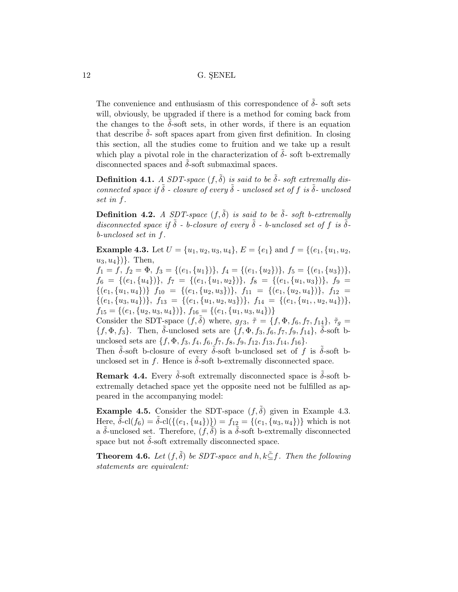The convenience and enthusiasm of this correspondence of  $\tilde{\delta}$ - soft sets will, obviously, be upgraded if there is a method for coming back from the changes to the  $\delta$ -soft sets, in other words, if there is an equation that describe  $\tilde{\delta}$ - soft spaces apart from given first definition. In closing this section, all the studies come to fruition and we take up a result which play a pivotal role in the characterization of  $\delta$ - soft b-extremally disconnected spaces and  $\tilde{\delta}$ -soft submaximal spaces.

**Definition 4.1.** A SDT-space  $(f, \tilde{\delta})$  is said to be  $\tilde{\delta}$ - soft extremally disconnected space if  $\tilde{\delta}$  - closure of every  $\tilde{\delta}$  - unclosed set of f is  $\tilde{\delta}$ - unclosed set in f.

**Definition 4.2.** A SDT-space  $(f, \tilde{\delta})$  is said to be  $\tilde{\delta}$ - soft b-extremally disconnected space if  $\tilde{\delta}$  - b-closure of every  $\tilde{\delta}$  - b-unclosed set of f is  $\tilde{\delta}$ b-unclosed set in f.

**Example 4.3.** Let  $U = \{u_1, u_2, u_3, u_4\}$ ,  $E = \{e_1\}$  and  $f = \{(e_1, \{u_1, u_2, u_3, u_4\})\}$  $u_3, u_4\}$ }. Then,

 $f_1 = f, f_2 = \Phi, f_3 = \{(e_1, \{u_1\})\}, f_4 = \{(e_1, \{u_2\})\}, f_5 = \{(e_1, \{u_3\})\},$  $f_6 = \{(e_1,\{u_4\})\},\; f_7 = \{(e_1,\{u_1,u_2\})\},\; f_8 = \{(e_1,\{u_1,u_3\})\},\; f_9 =$  $\{(e_1,\{u_1,u_4\})\} f_{10} = \{(e_1,\{u_2,u_3\})\}, f_{11} = \{(e_1,\{u_2,u_4\})\}, f_{12} =$  $\{(e_1,\{u_3,u_4\})\},\ f_{13} = \{(e_1,\{u_1,u_2,u_3\})\},\ f_{14} = \{(e_1,\{u_1,u_2,u_4\})\},\$  $f_{15} = \{(e_1, \{u_2, u_3, u_4\})\}, f_{16} = \{(e_1, \{u_1, u_3, u_4\})\}$ 

Consider the SDT-space  $(f, \tilde{\delta})$  where,  $g_{f3}$ ,  $\tilde{\tau} = \{f, \Phi, f_6, f_7, f_{14}\}, \tilde{\tau}_g =$  $\{f, \Phi, f_3\}$ . Then,  $\tilde{\delta}$ -unclosed sets are  $\{f, \Phi, f_3, f_6, f_7, f_9, f_{14}\}, \tilde{\delta}$ -soft bunclosed sets are  $\{f, \Phi, f_3, f_4, f_6, f_7, f_8, f_9, f_{12}, f_{13}, f_{14}, f_{16}\}.$ 

Then  $\delta$ -soft b-closure of every  $\delta$ -soft b-unclosed set of f is  $\delta$ -soft bunclosed set in f. Hence is  $\delta$ -soft b-extremally disconnected space.

**Remark 4.4.** Every  $\delta$ -soft extremally disconnected space is  $\delta$ -soft bextremally detached space yet the opposite need not be fulfilled as appeared in the accompanying model:

**Example 4.5.** Consider the SDT-space  $(f, \delta)$  given in Example 4.3. Here,  $\tilde{\delta}$ -cl( $f_6$ ) =  $\tilde{\delta}$ -cl( $\{(e_1, \{u_4\})\}) = f_{12} = \{(e_1, \{u_3, u_4\})\}$  which is not a  $\tilde{\delta}$ -unclosed set. Therefore,  $(f, \tilde{\delta})$  is a  $\tilde{\delta}$ -soft b-extremally disconnected space but not  $\tilde{\delta}$ -soft extremally disconnected space.

**Theorem 4.6.** Let  $(f, \tilde{\delta})$  be SDT-space and  $h, k \leq f$ . Then the following statements are equivalent: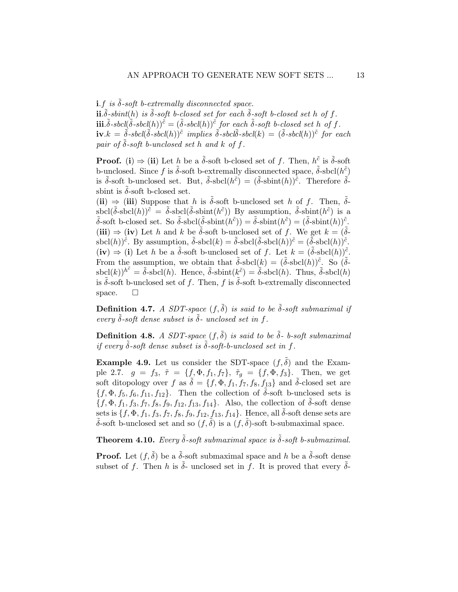**i.**f is  $\tilde{\delta}$ -soft b-extremally disconnected space.

 $\mathbf{ii}.\tilde{\delta}$ -sbint $(h)$  is  $\tilde{\delta}$ -soft b-closed set for each  $\tilde{\delta}$ -soft b-closed set h of f. **iii**. $\tilde{\delta}$ -sbcl $(\tilde{\delta}$ -sbcl $(h))^{\tilde{c}} = (\tilde{\delta}$ -sbcl $(h))^{\tilde{c}}$  for each  $\tilde{\delta}$ -soft b-closed set h of f.  $\mathbf{i}\mathbf{v}.k = \tilde{\delta}$ -sbcl $(\tilde{\delta}$ -sbcl $(h))^{\tilde{c}}$  implies  $\tilde{\delta}$ -sbcl $\tilde{\delta}$ -sbcl $(k) = (\tilde{\delta}$ -sbcl $(h))^{\tilde{c}}$  for each pair of  $\delta$ -soft b-unclosed set h and k of f.

**Proof.** (i)  $\Rightarrow$  (ii) Let h be a  $\tilde{\delta}$ -soft b-closed set of f. Then,  $h^{\tilde{c}}$  is  $\tilde{\delta}$ -soft b-unclosed. Since f is  $\tilde{\delta}$ -soft b-extremally disconnected space,  $\tilde{\delta}$ -sbcl $(h^{\tilde{c}})$ is  $\tilde{\delta}$ -soft b-unclosed set. But,  $\tilde{\delta}$ -sbcl $(h^{\tilde{c}}) = (\tilde{\delta}$ -sbint $(h))^{\tilde{c}}$ . Therefore  $\tilde{\delta}$ sbint is  $\delta$ -soft b-closed set.

(ii)  $\Rightarrow$  (iii) Suppose that h is  $\delta$ -soft b-unclosed set h of f. Then,  $\delta$ sbcl $(\tilde{\delta}$ -sbcl $(h))^{\tilde{c}} = \tilde{\delta}$ -sbcl $(\tilde{\delta}$ -sbint $(h^{\tilde{c}}))$  By assumption,  $\tilde{\delta}$ -sbint $(h^{\tilde{c}})$  is a  $\tilde{\delta}$ -soft b-closed set. So  $\tilde{\delta}$ -sbcl $(\tilde{\delta}$ -sbint $(h^{\tilde{c}}) = \tilde{\delta}$ -sbint $(h^{\tilde{c}}) = (\tilde{\delta}$ -sbint $(h))^{\tilde{c}}$ . (iii)  $\Rightarrow$  (iv) Let h and k be  $\delta$ -soft b-unclosed set of f. We get  $k = (\delta - \delta)^2$ sbcl $(h)$ <sup> $\tilde{c}$ </sup>. By assumption,  $\tilde{\delta}$ -sbcl $(k) = \tilde{\delta}$ -sbcl $(\tilde{\delta}$ -sbcl $(h)$  $)\tilde{c} = (\tilde{\delta}$ -sbcl $(h)$  $)\tilde{c}$ .  $(iv) \Rightarrow (i)$  Let h be a  $\tilde{\delta}$ -soft b-unclosed set of f. Let  $k = (\tilde{\delta}$ -sbcl $(h))^{\tilde{c}}$ . From the assumption, we obtain that  $\tilde{\delta}$ -sbcl $(k) = (\tilde{\delta}$ -sbcl $(h))^{\tilde{c}}$ . So  $(\tilde{\delta}$ - $\text{sbcl}(k)$ <sup>k</sup><sup> $\tilde{c} = \tilde{\delta}$ -sbcl(h). Hence,  $\tilde{\delta}$ -sbint( $k^{\tilde{c}}$ ) =  $\tilde{\delta}$ -sbcl(h). Thus,  $\tilde{\delta}$ -sbcl(h)</sup> is  $\delta$ -soft b-unclosed set of f. Then, f is  $\tilde{\delta}$ -soft b-extremally disconnected space.  $\square$ 

**Definition 4.7.** A SDT-space  $(f, \tilde{\delta})$  is said to be  $\tilde{\delta}$ -soft submaximal if every  $\tilde{\delta}$ -soft dense subset is  $\tilde{\delta}$ - unclosed set in f.

**Definition 4.8.** A SDT-space  $(f, \tilde{\delta})$  is said to be  $\tilde{\delta}$ - b-soft submaximal if every  $\tilde{\delta}$ -soft dense subset is  $\tilde{\delta}$ -soft-b-unclosed set in f.

**Example 4.9.** Let us consider the SDT-space  $(f, \tilde{\delta})$  and the Example 2.7.  $g = f_3$ ,  $\tilde{\tau} = \{f, \Phi, f_1, f_7\}$ ,  $\tilde{\tau}_g = \{f, \Phi, f_3\}$ . Then, we get soft ditopology over f as  $\tilde{\delta} = \{f, \Phi, f_1, f_7, f_8, f_{13}\}$  and  $\tilde{\delta}$ -closed set are  $\{f, \Phi, f_5, f_6, f_{11}, f_{12}\}.$  Then the collection of  $\delta$ -soft b-unclosed sets is  $\{f, \Phi, f_1, f_3, f_7, f_8, f_9, f_{12}, f_{13}, f_{14}\}.$  Also, the collection of  $\delta$ -soft dense sets is  $\{f, \Phi, f_1, f_3, f_7, f_8, f_9, f_{12}, f_{13}, f_{14}\}.$  Hence, all  $\delta$ -soft dense sets are  $\delta$ -soft b-unclosed set and so  $(f, \delta)$  is a  $(f, \delta)$ -soft b-submaximal space.

**Theorem 4.10.** Every  $\tilde{\delta}$ -soft submaximal space is  $\tilde{\delta}$ -soft b-submaximal.

**Proof.** Let  $(f, \tilde{\delta})$  be a  $\tilde{\delta}$ -soft submaximal space and h be a  $\tilde{\delta}$ -soft dense subset of f. Then h is  $\tilde{\delta}$ - unclosed set in f. It is proved that every  $\tilde{\delta}$ -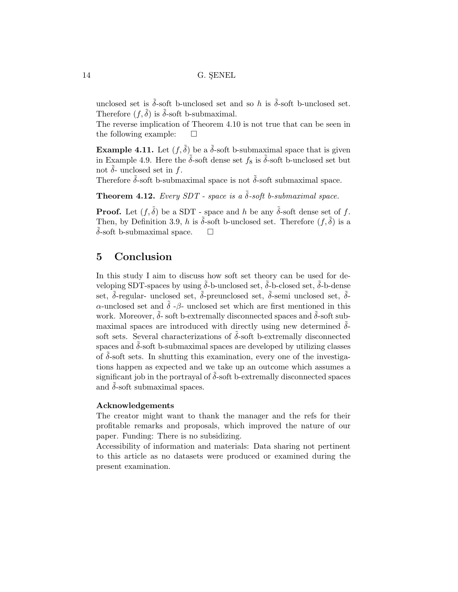unclosed set is  $\tilde{\delta}$ -soft b-unclosed set and so h is  $\tilde{\delta}$ -soft b-unclosed set. Therefore  $(f, \delta)$  is  $\delta$ -soft b-submaximal.

The reverse implication of Theorem 4.10 is not true that can be seen in the following example:  $\square$ 

**Example 4.11.** Let  $(f, \tilde{\delta})$  be a  $\tilde{\delta}$ -soft b-submaximal space that is given in Example 4.9. Here the  $\tilde{\delta}$ -soft dense set  $f_8$  is  $\tilde{\delta}$ -soft b-unclosed set but not  $\delta$ - unclosed set in f.

Therefore  $\tilde{\delta}$ -soft b-submaximal space is not  $\tilde{\delta}$ -soft submaximal space.

**Theorem 4.12.** Every SDT - space is a  $\tilde{\delta}$ -soft b-submaximal space.

**Proof.** Let  $(f, \tilde{\delta})$  be a SDT - space and h be any  $\tilde{\delta}$ -soft dense set of f. Then, by Definition 3.9, h is  $\tilde{\delta}$ -soft b-unclosed set. Therefore  $(f, \tilde{\delta})$  is a  $\delta$ -soft b-submaximal space.  $\square$ 

## 5 Conclusion

In this study I aim to discuss how soft set theory can be used for developing SDT-spaces by using  $\delta$ -b-unclosed set,  $\delta$ -b-closed set,  $\delta$ -b-dense set,  $\tilde{\delta}$ -regular- unclosed set,  $\tilde{\delta}$ -preunclosed set,  $\tilde{\delta}$ -semi unclosed set,  $\tilde{\delta}$ α-unclosed set and  $\tilde{\delta}$  -β- unclosed set which are first mentioned in this work. Moreover,  $\delta$ - soft b-extremally disconnected spaces and  $\delta$ -soft submaximal spaces are introduced with directly using new determined  $\tilde{\delta}$ soft sets. Several characterizations of  $\delta$ -soft b-extremally disconnected spaces and  $\delta$ -soft b-submaximal spaces are developed by utilizing classes of  $\delta$ -soft sets. In shutting this examination, every one of the investigations happen as expected and we take up an outcome which assumes a significant job in the portrayal of  $\delta$ -soft b-extremally disconnected spaces and  $\delta$ -soft submaximal spaces.

#### Acknowledgements

The creator might want to thank the manager and the refs for their profitable remarks and proposals, which improved the nature of our paper. Funding: There is no subsidizing.

Accessibility of information and materials: Data sharing not pertinent to this article as no datasets were produced or examined during the present examination.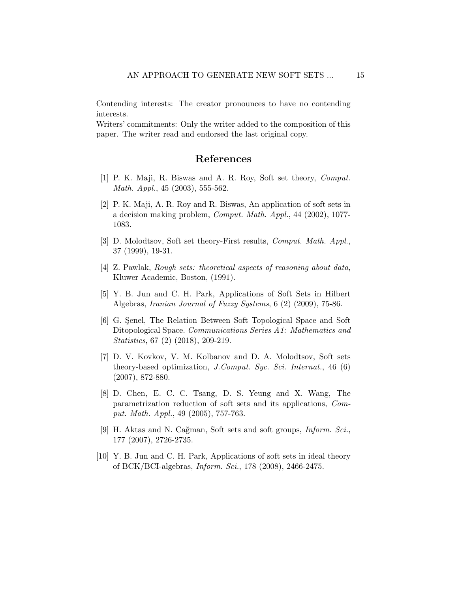Contending interests: The creator pronounces to have no contending interests.

Writers' commitments: Only the writer added to the composition of this paper. The writer read and endorsed the last original copy.

### References

- [1] P. K. Maji, R. Biswas and A. R. Roy, Soft set theory, Comput. Math. Appl., 45 (2003), 555-562.
- [2] P. K. Maji, A. R. Roy and R. Biswas, An application of soft sets in a decision making problem, Comput. Math. Appl., 44 (2002), 1077- 1083.
- [3] D. Molodtsov, Soft set theory-First results, Comput. Math. Appl., 37 (1999), 19-31.
- [4] Z. Pawlak, Rough sets: theoretical aspects of reasoning about data, Kluwer Academic, Boston, (1991).
- [5] Y. B. Jun and C. H. Park, Applications of Soft Sets in Hilbert Algebras, Iranian Journal of Fuzzy Systems, 6 (2) (2009), 75-86.
- [6] G. Senel, The Relation Between Soft Topological Space and Soft Ditopological Space. *Communications Series A1: Mathematics and* Statistics, 67 (2) (2018), 209-219.
- [7] D. V. Kovkov, V. M. Kolbanov and D. A. Molodtsov, Soft sets theory-based optimization, J.Comput. Syc. Sci. Internat., 46 (6) (2007), 872-880.
- [8] D. Chen, E. C. C. Tsang, D. S. Yeung and X. Wang, The parametrization reduction of soft sets and its applications, Comput. Math. Appl., 49 (2005), 757-763.
- [9] H. Aktas and N. Cağman, Soft sets and soft groups, *Inform. Sci.*, 177 (2007), 2726-2735.
- [10] Y. B. Jun and C. H. Park, Applications of soft sets in ideal theory of BCK/BCI-algebras, Inform. Sci., 178 (2008), 2466-2475.